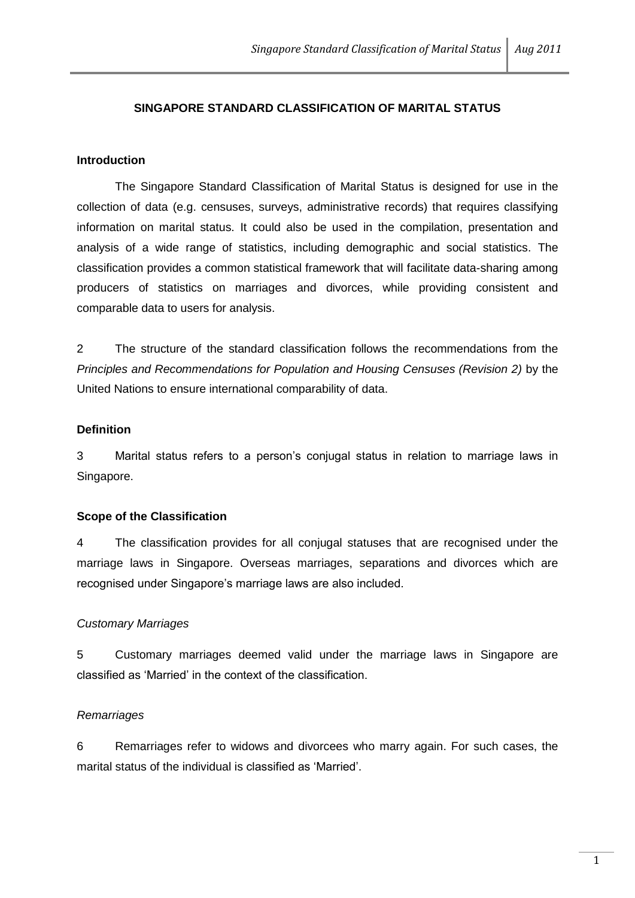# **SINGAPORE STANDARD CLASSIFICATION OF MARITAL STATUS**

### **Introduction**

The Singapore Standard Classification of Marital Status is designed for use in the collection of data (e.g. censuses, surveys, administrative records) that requires classifying information on marital status. It could also be used in the compilation, presentation and analysis of a wide range of statistics, including demographic and social statistics. The classification provides a common statistical framework that will facilitate data-sharing among producers of statistics on marriages and divorces, while providing consistent and comparable data to users for analysis.

2 The structure of the standard classification follows the recommendations from the *Principles and Recommendations for Population and Housing Censuses (Revision 2)* by the United Nations to ensure international comparability of data.

# **Definition**

3 Marital status refers to a person's conjugal status in relation to marriage laws in Singapore.

#### **Scope of the Classification**

4 The classification provides for all conjugal statuses that are recognised under the marriage laws in Singapore. Overseas marriages, separations and divorces which are recognised under Singapore's marriage laws are also included.

#### *Customary Marriages*

5 Customary marriages deemed valid under the marriage laws in Singapore are classified as 'Married' in the context of the classification.

#### *Remarriages*

6 Remarriages refer to widows and divorcees who marry again. For such cases, the marital status of the individual is classified as 'Married'.